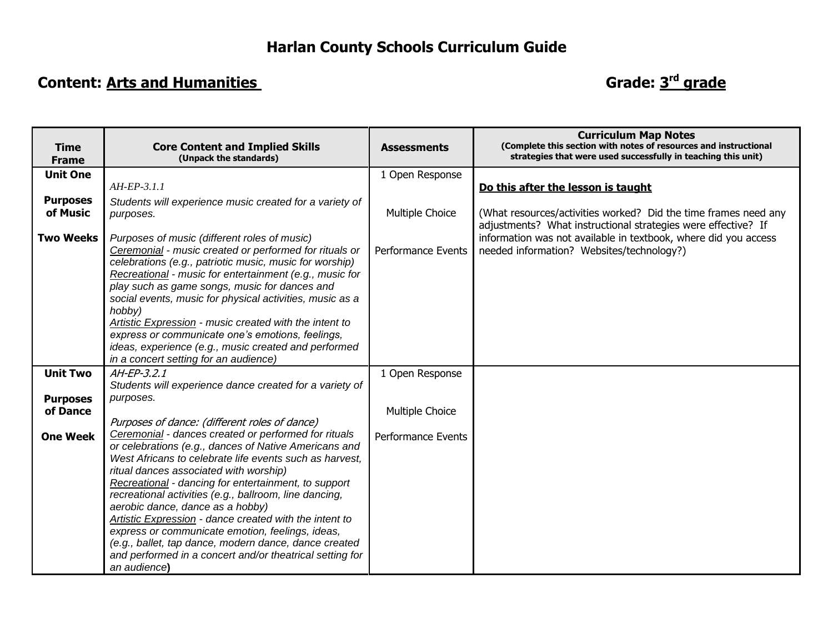## **Content: Arts and Humanities**

## Grade: 3<sup>rd</sup> grade

|                             |                                                                                                                                                                                                                                                                                                                                                                                                                                    |                           | <b>Curriculum Map Notes</b>                                                                                                                                                   |
|-----------------------------|------------------------------------------------------------------------------------------------------------------------------------------------------------------------------------------------------------------------------------------------------------------------------------------------------------------------------------------------------------------------------------------------------------------------------------|---------------------------|-------------------------------------------------------------------------------------------------------------------------------------------------------------------------------|
| <b>Time</b><br><b>Frame</b> | <b>Core Content and Implied Skills</b><br>(Unpack the standards)                                                                                                                                                                                                                                                                                                                                                                   | <b>Assessments</b>        | (Complete this section with notes of resources and instructional<br>strategies that were used successfully in teaching this unit)                                             |
| <b>Unit One</b>             |                                                                                                                                                                                                                                                                                                                                                                                                                                    | 1 Open Response           |                                                                                                                                                                               |
|                             | $AH-EP-3.1.1$                                                                                                                                                                                                                                                                                                                                                                                                                      |                           | Do this after the lesson is taught                                                                                                                                            |
| <b>Purposes</b><br>of Music | Students will experience music created for a variety of<br>purposes.                                                                                                                                                                                                                                                                                                                                                               | Multiple Choice           | (What resources/activities worked? Did the time frames need any                                                                                                               |
| <b>Two Weeks</b>            | Purposes of music (different roles of music)<br>Ceremonial - music created or performed for rituals or<br>celebrations (e.g., patriotic music, music for worship)<br>Recreational - music for entertainment (e.g., music for<br>play such as game songs, music for dances and<br>social events, music for physical activities, music as a<br>hobby)<br>Artistic Expression - music created with the intent to                      | <b>Performance Events</b> | adjustments? What instructional strategies were effective? If<br>information was not available in textbook, where did you access<br>needed information? Websites/technology?) |
|                             | express or communicate one's emotions, feelings,<br>ideas, experience (e.g., music created and performed<br>in a concert setting for an audience)                                                                                                                                                                                                                                                                                  |                           |                                                                                                                                                                               |
| <b>Unit Two</b>             | AH-EP-3.2.1<br>Students will experience dance created for a variety of                                                                                                                                                                                                                                                                                                                                                             | 1 Open Response           |                                                                                                                                                                               |
| <b>Purposes</b>             | purposes.                                                                                                                                                                                                                                                                                                                                                                                                                          |                           |                                                                                                                                                                               |
| of Dance                    | Purposes of dance: (different roles of dance)                                                                                                                                                                                                                                                                                                                                                                                      | Multiple Choice           |                                                                                                                                                                               |
| <b>One Week</b>             | Ceremonial - dances created or performed for rituals<br>or celebrations (e.g., dances of Native Americans and<br>West Africans to celebrate life events such as harvest.<br>ritual dances associated with worship)<br>Recreational - dancing for entertainment, to support<br>recreational activities (e.g., ballroom, line dancing,<br>aerobic dance, dance as a hobby)<br>Artistic Expression - dance created with the intent to | <b>Performance Events</b> |                                                                                                                                                                               |
|                             | express or communicate emotion, feelings, ideas,<br>(e.g., ballet, tap dance, modern dance, dance created<br>and performed in a concert and/or theatrical setting for<br>an audience)                                                                                                                                                                                                                                              |                           |                                                                                                                                                                               |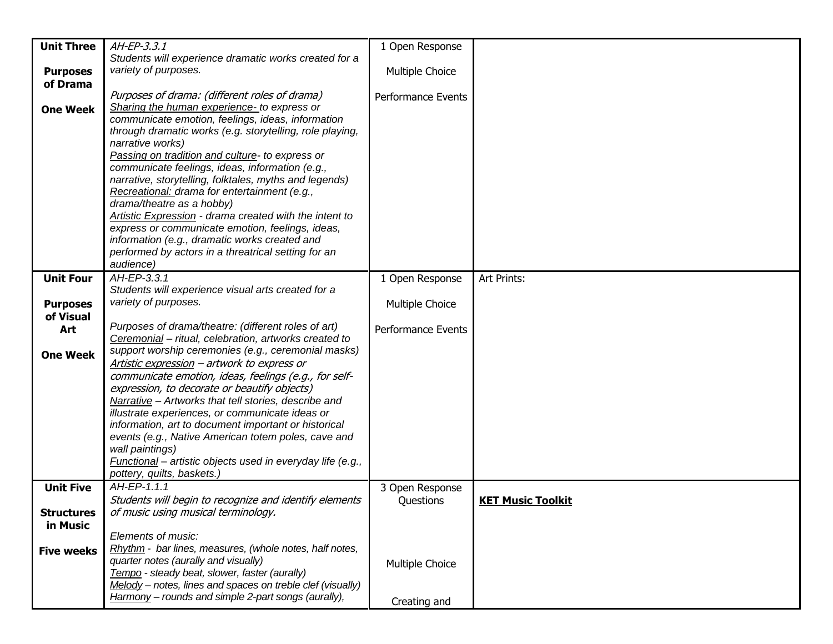| <b>Unit Three</b> | AH-EP-3.3.1                                                                                  | 1 Open Response           |                          |
|-------------------|----------------------------------------------------------------------------------------------|---------------------------|--------------------------|
|                   | Students will experience dramatic works created for a                                        |                           |                          |
| <b>Purposes</b>   | variety of purposes.                                                                         | Multiple Choice           |                          |
| of Drama          |                                                                                              |                           |                          |
|                   | Purposes of drama: (different roles of drama)<br>Sharing the human experience- to express or | Performance Events        |                          |
| <b>One Week</b>   | communicate emotion, feelings, ideas, information                                            |                           |                          |
|                   | through dramatic works (e.g. storytelling, role playing,                                     |                           |                          |
|                   | narrative works)                                                                             |                           |                          |
|                   | Passing on tradition and culture- to express or                                              |                           |                          |
|                   | communicate feelings, ideas, information (e.g.,                                              |                           |                          |
|                   | narrative, storytelling, folktales, myths and legends)                                       |                           |                          |
|                   | Recreational: drama for entertainment (e.g.,                                                 |                           |                          |
|                   | drama/theatre as a hobby)                                                                    |                           |                          |
|                   | Artistic Expression - drama created with the intent to                                       |                           |                          |
|                   | express or communicate emotion, feelings, ideas,                                             |                           |                          |
|                   | information (e.g., dramatic works created and                                                |                           |                          |
|                   | performed by actors in a threatrical setting for an<br>audience)                             |                           |                          |
| <b>Unit Four</b>  | AH-EP-3.3.1                                                                                  | 1 Open Response           | Art Prints:              |
|                   | Students will experience visual arts created for a                                           |                           |                          |
| <b>Purposes</b>   | variety of purposes.                                                                         | Multiple Choice           |                          |
| of Visual         |                                                                                              |                           |                          |
| Art               | Purposes of drama/theatre: (different roles of art)                                          | <b>Performance Events</b> |                          |
|                   | Ceremonial - ritual, celebration, artworks created to                                        |                           |                          |
| <b>One Week</b>   | support worship ceremonies (e.g., ceremonial masks)                                          |                           |                          |
|                   | Artistic expression - artwork to express or                                                  |                           |                          |
|                   | communicate emotion, ideas, feelings (e.g., for self-                                        |                           |                          |
|                   | expression, to decorate or beautify objects)                                                 |                           |                          |
|                   | Narrative - Artworks that tell stories, describe and                                         |                           |                          |
|                   | illustrate experiences, or communicate ideas or                                              |                           |                          |
|                   | information, art to document important or historical                                         |                           |                          |
|                   | events (e.g., Native American totem poles, cave and<br>wall paintings)                       |                           |                          |
|                   | Functional - artistic objects used in everyday life (e.g.,                                   |                           |                          |
|                   | pottery, quilts, baskets.)                                                                   |                           |                          |
| <b>Unit Five</b>  | AH-EP-1.1.1                                                                                  | 3 Open Response           |                          |
|                   | Students will begin to recognize and identify elements                                       | Questions                 | <b>KET Music Toolkit</b> |
| <b>Structures</b> | of music using musical terminology.                                                          |                           |                          |
| in Music          |                                                                                              |                           |                          |
|                   | Elements of music:                                                                           |                           |                          |
| <b>Five weeks</b> | Rhythm - bar lines, measures, (whole notes, half notes,                                      |                           |                          |
|                   | quarter notes (aurally and visually)                                                         | Multiple Choice           |                          |
|                   | Tempo - steady beat, slower, faster (aurally)                                                |                           |                          |
|                   | Melody - notes, lines and spaces on treble clef (visually)                                   |                           |                          |
|                   | Harmony – rounds and simple 2-part songs (aurally),                                          | Creating and              |                          |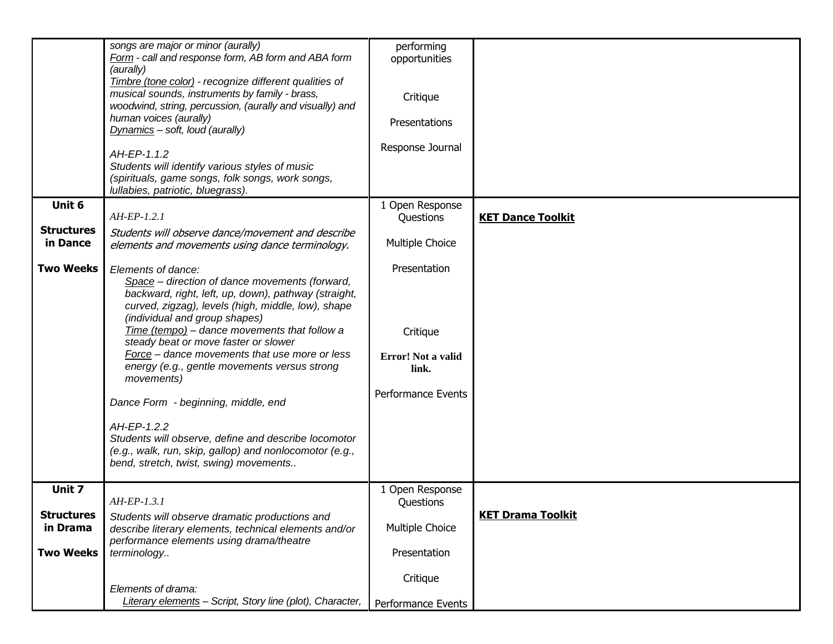|                   | songs are major or minor (aurally)                        | performing         |                          |
|-------------------|-----------------------------------------------------------|--------------------|--------------------------|
|                   | Form - call and response form, AB form and ABA form       | opportunities      |                          |
|                   | (aurally)                                                 |                    |                          |
|                   | Timbre (tone color) - recognize different qualities of    |                    |                          |
|                   | musical sounds, instruments by family - brass,            | Critique           |                          |
|                   | woodwind, string, percussion, (aurally and visually) and  |                    |                          |
|                   | human voices (aurally)                                    |                    |                          |
|                   | Dynamics - soft, loud (aurally)                           | Presentations      |                          |
|                   |                                                           |                    |                          |
|                   | AH-EP-1.1.2                                               | Response Journal   |                          |
|                   |                                                           |                    |                          |
|                   | Students will identify various styles of music            |                    |                          |
|                   | (spirituals, game songs, folk songs, work songs,          |                    |                          |
|                   | Iullabies, patriotic, bluegrass).                         |                    |                          |
| Unit 6            |                                                           | 1 Open Response    |                          |
|                   | $AH-EP-1.2.1$                                             | Questions          | <b>KET Dance Toolkit</b> |
| <b>Structures</b> | Students will observe dance/movement and describe         |                    |                          |
| in Dance          | elements and movements using dance terminology.           | Multiple Choice    |                          |
|                   |                                                           |                    |                          |
| <b>Two Weeks</b>  | Elements of dance:                                        | Presentation       |                          |
|                   |                                                           |                    |                          |
|                   | Space - direction of dance movements (forward,            |                    |                          |
|                   | backward, right, left, up, down), pathway (straight,      |                    |                          |
|                   | curved, zigzag), levels (high, middle, low), shape        |                    |                          |
|                   | (individual and group shapes)                             |                    |                          |
|                   | Time (tempo) - dance movements that follow a              | Critique           |                          |
|                   | steady beat or move faster or slower                      |                    |                          |
|                   | Force - dance movements that use more or less             | Error! Not a valid |                          |
|                   | energy (e.g., gentle movements versus strong              | link.              |                          |
|                   | movements)                                                |                    |                          |
|                   |                                                           | Performance Events |                          |
|                   | Dance Form - beginning, middle, end                       |                    |                          |
|                   |                                                           |                    |                          |
|                   | AH-EP-1.2.2                                               |                    |                          |
|                   | Students will observe, define and describe locomotor      |                    |                          |
|                   | (e.g., walk, run, skip, gallop) and nonlocomotor (e.g.,   |                    |                          |
|                   | bend, stretch, twist, swing) movements                    |                    |                          |
|                   |                                                           |                    |                          |
| Unit 7            |                                                           | 1 Open Response    |                          |
|                   | $AH-EP-1.3.1$                                             | Questions          |                          |
| <b>Structures</b> |                                                           |                    | <b>KET Drama Toolkit</b> |
|                   | Students will observe dramatic productions and            |                    |                          |
| in Drama          | describe literary elements, technical elements and/or     | Multiple Choice    |                          |
|                   | performance elements using drama/theatre                  |                    |                          |
| <b>Two Weeks</b>  | terminology                                               | Presentation       |                          |
|                   |                                                           |                    |                          |
|                   |                                                           | Critique           |                          |
|                   | Elements of drama:                                        |                    |                          |
|                   | Literary elements - Script, Story line (plot), Character, | Performance Events |                          |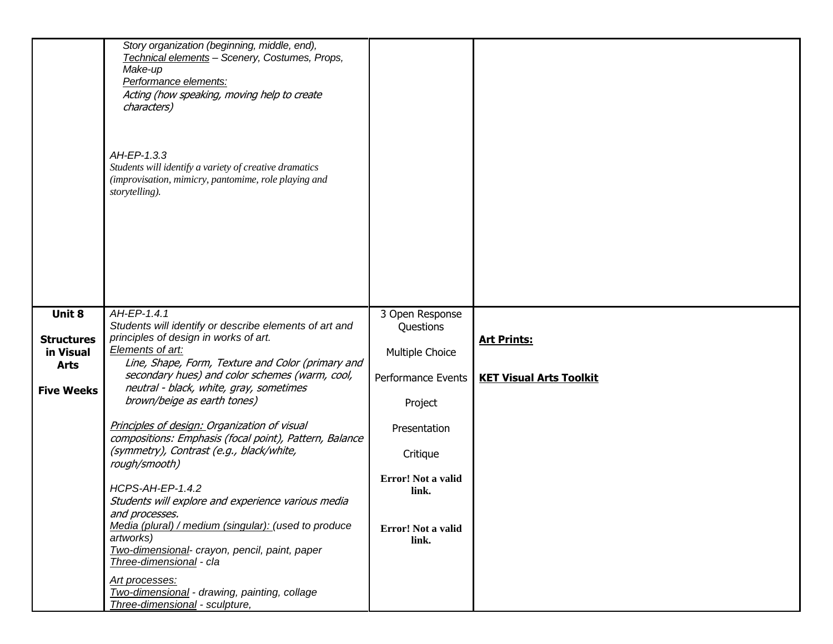|                                                                              | Story organization (beginning, middle, end),<br>Technical elements - Scenery, Costumes, Props,<br>Make-up<br>Performance elements:<br>Acting (how speaking, moving help to create<br>characters)<br>AH-EP-1.3.3<br>Students will identify a variety of creative dramatics<br>(improvisation, mimicry, pantomime, role playing and<br>storytelling).                                                                                                                                                                                                                                                                                                                                                                                                                                                              |                                                                                                                                                                            |                                                      |
|------------------------------------------------------------------------------|------------------------------------------------------------------------------------------------------------------------------------------------------------------------------------------------------------------------------------------------------------------------------------------------------------------------------------------------------------------------------------------------------------------------------------------------------------------------------------------------------------------------------------------------------------------------------------------------------------------------------------------------------------------------------------------------------------------------------------------------------------------------------------------------------------------|----------------------------------------------------------------------------------------------------------------------------------------------------------------------------|------------------------------------------------------|
| Unit 8<br><b>Structures</b><br>in Visual<br><b>Arts</b><br><b>Five Weeks</b> | AH-EP-1.4.1<br>Students will identify or describe elements of art and<br>principles of design in works of art.<br>Elements of art:<br>Line, Shape, Form, Texture and Color (primary and<br>secondary hues) and color schemes (warm, cool,<br>neutral - black, white, gray, sometimes<br>brown/beige as earth tones)<br>Principles of design: Organization of visual<br>compositions: Emphasis (focal point), Pattern, Balance<br>(symmetry), Contrast (e.g., black/white,<br>rough/smooth)<br><b>HCPS-AH-EP-1.4.2</b><br>Students will explore and experience various media<br>and processes.<br>Media (plural) / medium (singular): (used to produce<br>artworks)<br>Two-dimensional- crayon, pencil, paint, paper<br>Three-dimensional - cla<br>Art processes:<br>Two-dimensional - drawing, painting, collage | 3 Open Response<br>Questions<br>Multiple Choice<br>Performance Events<br>Project<br>Presentation<br>Critique<br>Error! Not a valid<br>link.<br>Error! Not a valid<br>link. | <b>Art Prints:</b><br><b>KET Visual Arts Toolkit</b> |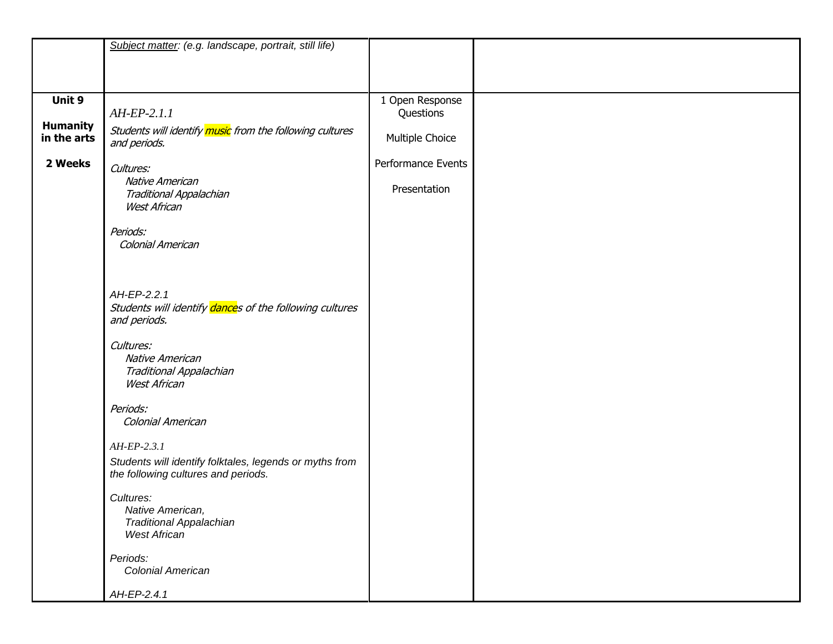|                                | Subject matter: (e.g. landscape, portrait, still life)                   |                    |  |
|--------------------------------|--------------------------------------------------------------------------|--------------------|--|
|                                |                                                                          |                    |  |
|                                |                                                                          |                    |  |
|                                |                                                                          |                    |  |
| Unit 9                         |                                                                          | 1 Open Response    |  |
|                                | $AH-EP-2.1.1$                                                            | Questions          |  |
| <b>Humanity</b><br>in the arts | Students will identify music from the following cultures<br>and periods. | Multiple Choice    |  |
| 2 Weeks                        | Cultures:                                                                | Performance Events |  |
|                                | Native American                                                          |                    |  |
|                                | Traditional Appalachian<br><b>West African</b>                           | Presentation       |  |
|                                |                                                                          |                    |  |
|                                | Periods:<br>Colonial American                                            |                    |  |
|                                |                                                                          |                    |  |
|                                |                                                                          |                    |  |
|                                |                                                                          |                    |  |
|                                | AH-EP-2.2.1                                                              |                    |  |
|                                | Students will identify dances of the following cultures                  |                    |  |
|                                | and periods.                                                             |                    |  |
|                                | Cultures:                                                                |                    |  |
|                                | Native American                                                          |                    |  |
|                                | Traditional Appalachian                                                  |                    |  |
|                                | <b>West African</b>                                                      |                    |  |
|                                |                                                                          |                    |  |
|                                | Periods:<br>Colonial American                                            |                    |  |
|                                |                                                                          |                    |  |
|                                | $AH-EP-2.3.1$                                                            |                    |  |
|                                | Students will identify folktales, legends or myths from                  |                    |  |
|                                | the following cultures and periods.                                      |                    |  |
|                                | Cultures:                                                                |                    |  |
|                                | Native American,                                                         |                    |  |
|                                | Traditional Appalachian                                                  |                    |  |
|                                | <b>West African</b>                                                      |                    |  |
|                                | Periods:                                                                 |                    |  |
|                                | Colonial American                                                        |                    |  |
|                                |                                                                          |                    |  |
|                                | AH-EP-2.4.1                                                              |                    |  |